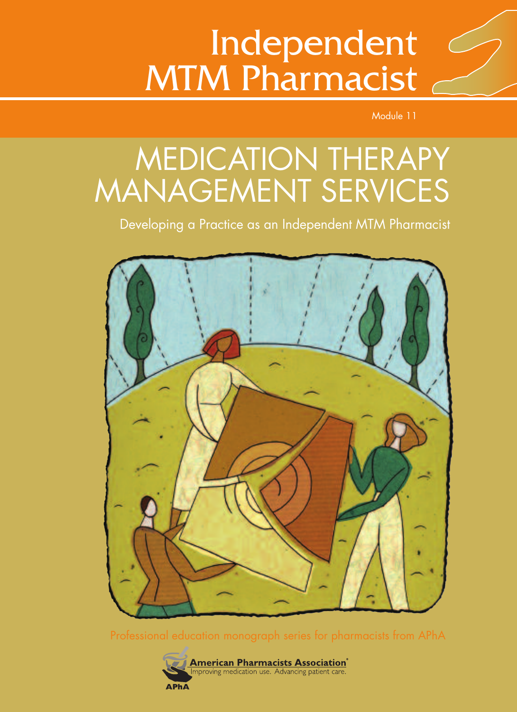# Independent MTM Pharmacist

Module 11

# MEDICATION THERAPY MANAGEMENT SERVICES

Developing a Practice as an Independent MTM Pharmacist



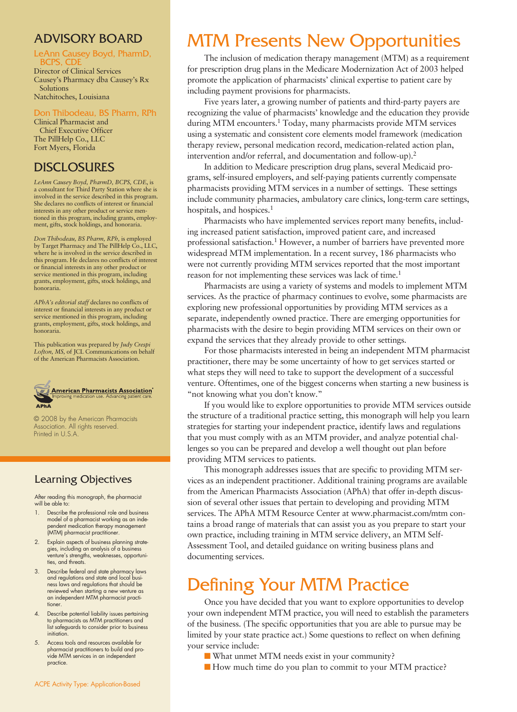# ADVISORY BOARD

# LeAnn Causey Boyd, PharmD,

Director of Clinical Services Causey's Pharmacy dba Causey's Rx Solutions Natchitoches, Louisiana

#### on Thibodeau, BS Pharm, RPh

Clinical Pharmacist and Chief Executive Officer The PillHelp Co., LLC Fort Myers, Florida

# DISCLOSURES

*LeAnn Causey Boyd, PharmD, BCPS, CDE*, is a consultant for Third Party Station where she is involved in the service described in this program. She declares no conflicts of interest or financial interests in any other product or service mentioned in this program, including grants, employment, gifts, stock holdings, and honoraria.

*Don Thibodeau, BS Pharm, RPh,* is employed by Target Pharmacy and The PillHelp Co., LLC, where he is involved in the service described in this program. He declares no conflicts of interest or financial interests in any other product or service mentioned in this program, including grants, employment, gifts, stock holdings, and honoraria.

*APhA's editorial staff* declares no conflicts of interest or financial interests in any product or service mentioned in this program, including grants, employment, gifts, stock holdings, and honoraria.

This publication was prepared by *Judy Crespi Lofton, MS,* of JCL Communications on behalf of the American Pharmacists Association.



© 2008 by the American Pharmacists Association. All rights reserved. Printed in U.S.A.

## Learning Objectives

After reading this monograph, the pharmacist will be able to:

- 1. Describe the professional role and business model of a pharmacist working as an independent medication therapy management (MTM) pharmacist practitioner.
- 2. Explain aspects of business planning strategies, including an analysis of a business venture's strengths, weaknesses, opportunities, and threats.
- 3. Describe federal and state pharmacy laws and regulations and state and local business laws and regulations that should be reviewed when starting a new venture as an independent MTM pharmacist practitioner.
- 4. Describe potential liability issues pertaining to pharmacists as MTM practitioners and list safeguards to consider prior to business initiation.
- 5. Access tools and resources available for pharmacist practitioners to build and provide MTM services in an independent practice.

# MTM Presents New Opportunities

The inclusion of medication therapy management (MTM) as a requirement for prescription drug plans in the Medicare Modernization Act of 2003 helped promote the application of pharmacists' clinical expertise to patient care by including payment provisions for pharmacists.

Five years later, a growing number of patients and third-party payers are recognizing the value of pharmacists' knowledge and the education they provide during MTM encounters. <sup>1</sup> Today, many pharmacists provide MTM services using a systematic and consistent core elements model framework (medication therapy review, personal medication record, medication-related action plan, intervention and/or referral, and documentation and follow-up). 2

In addition to Medicare prescription drug plans, several Medicaid programs, self-insured employers, and self-paying patients currently compensate pharmacists providing MTM services in a number of settings. These settings include community pharmacies, ambulatory care clinics, long-term care settings, hospitals, and hospices. 1

Pharmacists who have implemented services report many benefits, including increased patient satisfaction, improved patient care, and increased professional satisfaction. <sup>1</sup> However, a number of barriers have prevented more widespread MTM implementation. In a recent survey, 186 pharmacists who were not currently providing MTM services reported that the most important reason for not implementing these services was lack of time. 1

Pharmacists are using a variety of systems and models to implement MTM services. As the practice of pharmacy continues to evolve, some pharmacists are exploring new professional opportunities by providing MTM services as a separate, independently owned practice. There are emerging opportunities for pharmacists with the desire to begin providing MTM services on their own or expand the services that they already provide to other settings.

For those pharmacists interested in being an independent MTM pharmacist practitioner, there may be some uncertainty of how to get services started or what steps they will need to take to support the development of a successful venture. Oftentimes, one of the biggest concerns when starting a new business is "not knowing what you don't know."

If you would like to explore opportunities to provide MTM services outside the structure of a traditional practice setting, this monograph will help you learn strategies for starting your independent practice, identify laws and regulations that you must comply with as an MTM provider, and analyze potential challenges so you can be prepared and develop a well thought out plan before providing MTM services to patients.

This monograph addresses issues that are specific to providing MTM services as an independent practitioner. Additional training programs are available from the American Pharmacists Association (APhA) that offer in-depth discussion of several other issues that pertain to developing and providing MTM services. The APhA MTM Resource Center at www.pharmacist.com/mtm contains a broad range of materials that can assist you as you prepare to start your own practice, including training in MTM service delivery, an MTM Self-Assessment Tool, and detailed guidance on writing business plans and documenting services.

# Defining Your MTM Practice

Once you have decided that you want to explore opportunities to develop your own independent MTM practice, you will need to establish the parameters of the business. (The specific opportunities that you are able to pursue may be limited by your state practice act.) Some questions to reflect on when defining your service include:

- What unmet MTM needs exist in your community?
- How much time do you plan to commit to your MTM practice?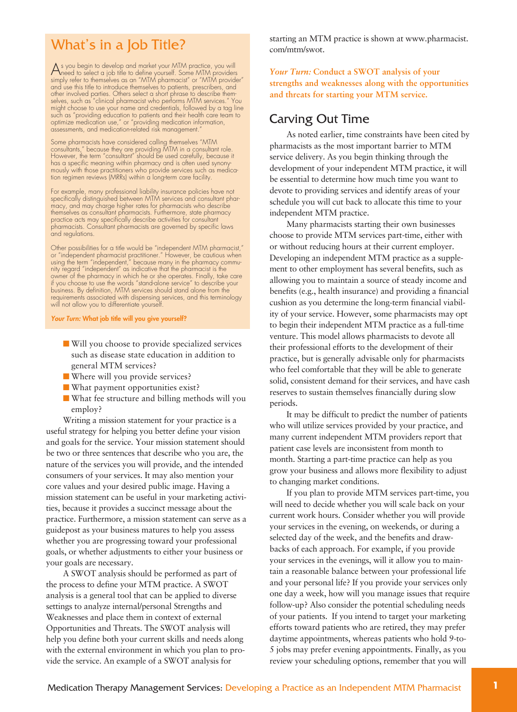# What's in a Job Title?

As you begin to develop and market your MTM practice, you will need to select a job title to define yourself. Some MTM providers simply refer to themselves as an "MTM pharmacist" or "MTM provider" and use this title to introduce themselves to patients, prescribers, and other involved parties. Others select a short phrase to describe themselves, such as "clinical pharmacist who performs MTM services." You might choose to use your name and credentials, followed by a tag line such as "providing education to patients and their health care team to optimize medication use," or "providing medication information, assessments, and medication-related risk management."

Some pharmacists have considered calling themselves "MTM consultants," because they are providing MTM in a consultant role. However, the term "consultant" should be used carefully, because it has a specific meaning within pharmacy and is often used synonymously with those practitioners who provide services such as medica-tion regimen reviews (MRRs) within a long-term care facility.

For example, many professional liability insurance policies have not specifically distinguished between MTM services and consultant pharmacy, and may charge higher rates for pharmacists who describe themselves as consultant pharmacists. Furthermore, state pharmacy practice acts may specifically describe activities for consultant pharmacists. Consultant pharmacists are governed by specific laws and regulations.

Other possibilities for a title would be "independent MTM pharmacist,"<br>or "independent pharmacist practitioner." However, be cautious when<br>using the term "independent," because many in the pharmacy commu-<br>nity regard "inde owner of the pharmacy in which he or she operates. Finally, take care if you choose to use the words "stand-alone service" to describe your business. By definition, MTM services should stand alone from the requirements associated with dispensing services, and this terminology will not allow you to differentiate yourself

*Your Turn:* **What job title will you give yourself?**

- **■** Will you choose to provide specialized services such as disease state education in addition to general MTM services?
- Where will you provide services?
- **■** What payment opportunities exist?
- **■** What fee structure and billing methods will you employ?

Writing a mission statement for your practice is a useful strategy for helping you better define your vision and goals for the service. Your mission statement should be two or three sentences that describe who you are, the nature of the services you will provide, and the intended consumers of your services. It may also mention your core values and your desired public image. Having a mission statement can be useful in your marketing activities, because it provides a succinct message about the practice. Furthermore, a mission statement can serve as a guidepost as your business matures to help you assess whether you are progressing toward your professional goals, or whether adjustments to either your business or your goals are necessary.

A SWOT analysis should be performed as part of the process to define your MTM practice. A SWOT analysis is a general tool that can be applied to diverse settings to analyze internal/personal Strengths and Weaknesses and place them in context of external Opportunities and Threats. The SWOT analysis will help you define both your current skills and needs along with the external environment in which you plan to provide the service. An example of a SWOT analysis for

starting an MTM practice is shown at www.pharmacist. com/mtm/swot.

*Your Turn:* **Conduct a SWOT analysis of your strengths and weaknesses along with the opportunities and threats for starting your MTM service.**

### Carving Out Time

As noted earlier, time constraints have been cited by pharmacists as the most important barrier to MTM service delivery. As you begin thinking through the development of your independent MTM practice, it will be essential to determine how much time you want to devote to providing services and identify areas of your schedule you will cut back to allocate this time to your independent MTM practice.

Many pharmacists starting their own businesses choose to provide MTM services part-time, either with or without reducing hours at their current employer. Developing an independent MTM practice as a supplement to other employment has several benefits, such as allowing you to maintain a source of steady income and benefits (e.g., health insurance) and providing a financial cushion as you determine the long-term financial viability of your service. However, some pharmacists may opt to begin their independent MTM practice as a full-time venture. This model allows pharmacists to devote all their professional efforts to the development of their practice, but is generally advisable only for pharmacists who feel comfortable that they will be able to generate solid, consistent demand for their services, and have cash reserves to sustain themselves financially during slow periods.

It may be difficult to predict the number of patients who will utilize services provided by your practice, and many current independent MTM providers report that patient case levels are inconsistent from month to month. Starting a part-time practice can help as you grow your business and allows more flexibility to adjust to changing market conditions.

If you plan to provide MTM services part-time, you will need to decide whether you will scale back on your current work hours. Consider whether you will provide your services in the evening, on weekends, or during a selected day of the week, and the benefits and drawbacks of each approach. For example, if you provide your services in the evenings, will it allow you to maintain a reasonable balance between your professional life and your personal life? If you provide your services only one day a week, how will you manage issues that require follow-up? Also consider the potential scheduling needs of your patients. If you intend to target your marketing efforts toward patients who are retired, they may prefer daytime appointments, whereas patients who hold 9-to-5 jobs may prefer evening appointments. Finally, as you review your scheduling options, remember that you will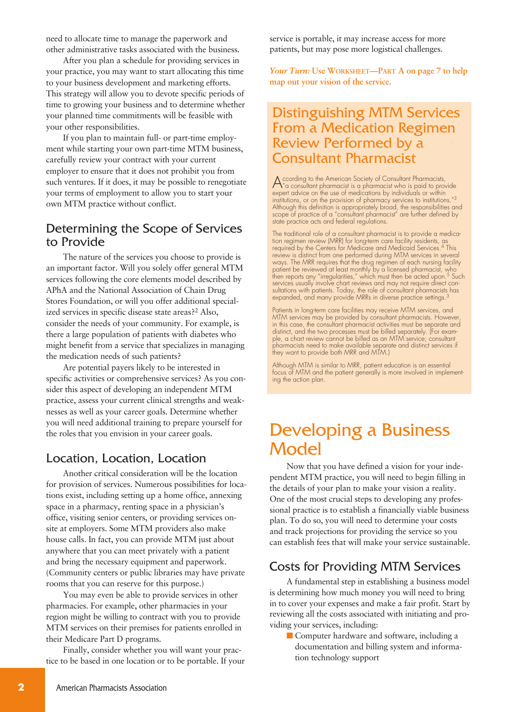need to allocate time to manage the paperwork and other administrative tasks associated with the business.

After you plan a schedule for providing services in your practice, you may want to start allocating this time to your business development and marketing efforts. This strategy will allow you to devote specific periods of time to growing your business and to determine whether your planned time commitments will be feasible with your other responsibilities.

If you plan to maintain full- or part-time employment while starting your own part-time MTM business, carefully review your contract with your current employer to ensure that it does not prohibit you from such ventures. If it does, it may be possible to renegotiate your terms of employment to allow you to start your own MTM practice without conflict.

# Determining the Scope of Services to Provide

The nature of the services you choose to provide is an important factor. Will you solely offer general MTM services following the core elements model described by APhA and the National Association of Chain Drug Stores Foundation, or will you offer additional specialized services in specific disease state areas?<sup>2</sup> Also, consider the needs of your community. For example, is there a large population of patients with diabetes who might benefit from a service that specializes in managing the medication needs of such patients?

Are potential payers likely to be interested in specific activities or comprehensive services? As you consider this aspect of developing an independent MTM practice, assess your current clinical strengths and weaknesses as well as your career goals. Determine whether you will need additional training to prepare yourself for the roles that you envision in your career goals.

## Location, Location, Location

Another critical consideration will be the location for provision of services. Numerous possibilities for locations exist, including setting up a home office, annexing space in a pharmacy, renting space in a physician's office, visiting senior centers, or providing services onsite at employers. Some MTM providers also make house calls. In fact, you can provide MTM just about anywhere that you can meet privately with a patient and bring the necessary equipment and paperwork. (Community centers or public libraries may have private rooms that you can reserve for this purpose.)

You may even be able to provide services in other pharmacies. For example, other pharmacies in your region might be willing to contract with you to provide MTM services on their premises for patients enrolled in their Medicare Part D programs.

Finally, consider whether you will want your practice to be based in one location or to be portable. If your service is portable, it may increase access for more patients, but may pose more logistical challenges.

*Your Turn:* **Use WORKSHEET—PART A on page 7 to help map out your vision of the service.**

# Distinguishing MTM Services From a Medication Regimen Review Performed by a Consultant Pharmacist

According to the American Society of Consultant Pharmacists, "a consultant pharmacist is a pharmacist who is paid to provide expert advice on the use of medications by individuals or within institutions, or on the provision of pharmacy services to institutions."<sup>3</sup><br>Although this definition is appropriately broad, the responsibilities and<br>scope of practice of a "consultant pharmacist" are further defined by state practice acts and federal regulations.

The traditional role of a consultant pharmacist is to provide a medication regimen review (MRR) for long-term care facility residents, as required by the Centers for Medicare and Medicaid Services. <sup>4</sup> This review is distinct from one performed during MTM services in several ways. The MRR requires that the drug regimen of each nursing facility patient be reviewed at least monthly by a licensed pharmacist, who then reports any "irregularities," which must then be acted upon. <sup>5</sup> Such services usually involve chart reviews and may not require direct consultations with patients. Today, the role of consultant pharmacists has expanded, and many provide MRRs in diverse practice settings. 3

Patients in long-term care facilities may receive MTM services, and MTM services may be provided by consultant pharmacists. However in this case, the consultant pharmacist activities must be separate and distinct, and the two processes must be billed separately. (For example, a chart review cannot be billed as an MTM service; consultant pharmacists need to make available separate and distinct services if they want to provide both MRR and MTM.)

Although MTM is similar to MRR, patient education is an essential focus of MTM and the patient generally is more involved in implementing the action plan.

# Developing a Business **Model**

Now that you have defined a vision for your independent MTM practice, you will need to begin filling in the details of your plan to make your vision a reality. One of the most crucial steps to developing any professional practice is to establish a financially viable business plan. To do so, you will need to determine your costs and track projections for providing the service so you can establish fees that will make your service sustainable.

# Costs for Providing MTM Services

A fundamental step in establishing a business model is determining how much money you will need to bring in to cover your expenses and make a fair profit. Start by reviewing all the costs associated with initiating and providing your services, including:

■ Computer hardware and software, including a documentation and billing system and information technology support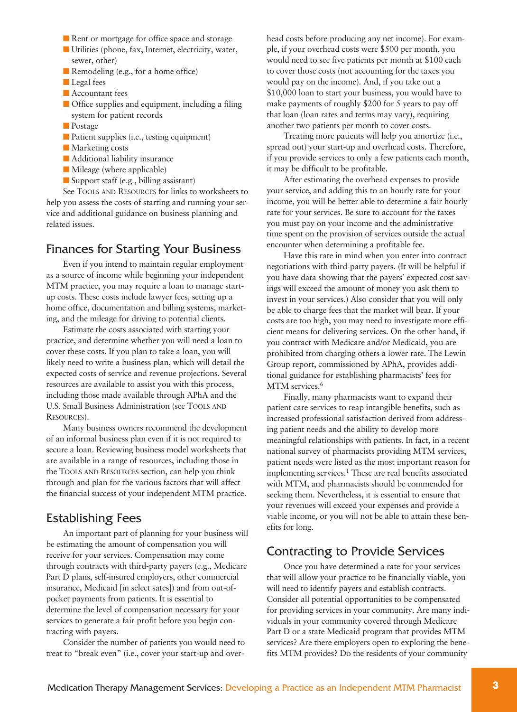- Rent or mortgage for office space and storage
- **■** Utilities (phone, fax, Internet, electricity, water, sewer, other)
- Remodeling (e.g., for a home office)
- **■** Legal fees
- Accountant fees
- Office supplies and equipment, including a filing system for patient records
- Postage
- Patient supplies (i.e., testing equipment)
- Marketing costs
- Additional liability insurance
- Mileage (where applicable)
- Support staff (e.g., billing assistant)

See TOOLS AND RESOURCES for links to worksheets to help you assess the costs of starting and running your service and additional guidance on business planning and related issues.

### Finances for Starting Your Business

Even if you intend to maintain regular employment as a source of income while beginning your independent MTM practice, you may require a loan to manage startup costs. These costs include lawyer fees, setting up a home office, documentation and billing systems, marketing, and the mileage for driving to potential clients.

Estimate the costs associated with starting your practice, and determine whether you will need a loan to cover these costs. If you plan to take a loan, you will likely need to write a business plan, which will detail the expected costs of service and revenue projections. Several resources are available to assist you with this process, including those made available through APhA and the U.S. Small Business Administration (see TOOLS AND RESOURCES).

Many business owners recommend the development of an informal business plan even if it is not required to secure a loan. Reviewing business model worksheets that are available in a range of resources, including those in the TOOLS AND RESOURCES section, can help you think through and plan for the various factors that will affect the financial success of your independent MTM practice.

### Establishing Fees

An important part of planning for your business will be estimating the amount of compensation you will receive for your services. Compensation may come through contracts with third-party payers (e.g., Medicare Part D plans, self-insured employers, other commercial insurance, Medicaid [in select sates]) and from out-ofpocket payments from patients. It is essential to determine the level of compensation necessary for your services to generate a fair profit before you begin contracting with payers.

Consider the number of patients you would need to treat to "break even" (i.e., cover your start-up and over-

head costs before producing any net income). For example, if your overhead costs were \$500 per month, you would need to see five patients per month at \$100 each to cover those costs (not accounting for the taxes you would pay on the income). And, if you take out a \$10,000 loan to start your business, you would have to make payments of roughly \$200 for 5 years to pay off that loan (loan rates and terms may vary), requiring another two patients per month to cover costs.

Treating more patients will help you amortize (i.e., spread out) your start-up and overhead costs. Therefore, if you provide services to only a few patients each month, it may be difficult to be profitable.

After estimating the overhead expenses to provide your service, and adding this to an hourly rate for your income, you will be better able to determine a fair hourly rate for your services. Be sure to account for the taxes you must pay on your income and the administrative time spent on the provision of services outside the actual encounter when determining a profitable fee.

Have this rate in mind when you enter into contract negotiations with third-party payers. (It will be helpful if you have data showing that the payers' expected cost savings will exceed the amount of money you ask them to invest in your services.) Also consider that you will only be able to charge fees that the market will bear. If your costs are too high, you may need to investigate more efficient means for delivering services. On the other hand, if you contract with Medicare and/or Medicaid, you are prohibited from charging others a lower rate. The Lewin Group report, commissioned by APhA, provides additional guidance for establishing pharmacists' fees for MTM services. 6

Finally, many pharmacists want to expand their patient care services to reap intangible benefits, such as increased professional satisfaction derived from addressing patient needs and the ability to develop more meaningful relationships with patients. In fact, in a recent national survey of pharmacists providing MTM services, patient needs were listed as the most important reason for implementing services. <sup>1</sup> These are real benefits associated with MTM, and pharmacists should be commended for seeking them. Nevertheless, it is essential to ensure that your revenues will exceed your expenses and provide a viable income, or you will not be able to attain these benefits for long.

### Contracting to Provide Services

Once you have determined a rate for your services that will allow your practice to be financially viable, you will need to identify payers and establish contracts. Consider all potential opportunities to be compensated for providing services in your community. Are many individuals in your community covered through Medicare Part D or a state Medicaid program that provides MTM services? Are there employers open to exploring the benefits MTM provides? Do the residents of your community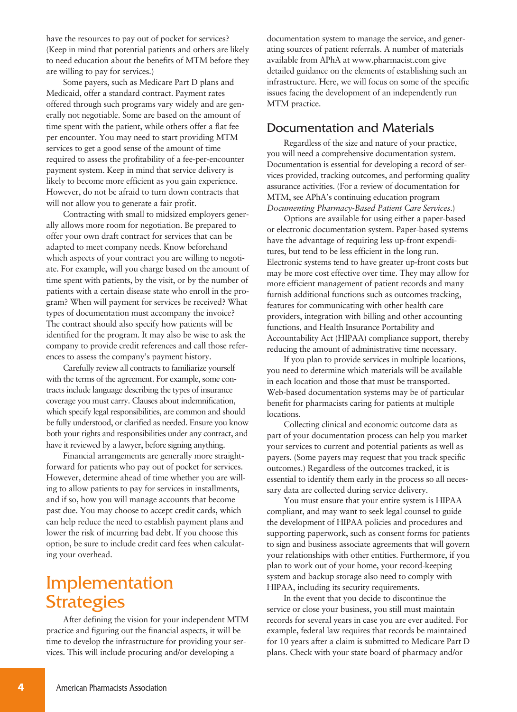have the resources to pay out of pocket for services? (Keep in mind that potential patients and others are likely to need education about the benefits of MTM before they are willing to pay for services.)

Some payers, such as Medicare Part D plans and Medicaid, offer a standard contract. Payment rates offered through such programs vary widely and are generally not negotiable. Some are based on the amount of time spent with the patient, while others offer a flat fee per encounter. You may need to start providing MTM services to get a good sense of the amount of time required to assess the profitability of a fee-per-encounter payment system. Keep in mind that service delivery is likely to become more efficient as you gain experience. However, do not be afraid to turn down contracts that will not allow you to generate a fair profit.

Contracting with small to midsized employers generally allows more room for negotiation. Be prepared to offer your own draft contract for services that can be adapted to meet company needs. Know beforehand which aspects of your contract you are willing to negotiate. For example, will you charge based on the amount of time spent with patients, by the visit, or by the number of patients with a certain disease state who enroll in the program? When will payment for services be received? What types of documentation must accompany the invoice? The contract should also specify how patients will be identified for the program. It may also be wise to ask the company to provide credit references and call those references to assess the company's payment history.

Carefully review all contracts to familiarize yourself with the terms of the agreement. For example, some contracts include language describing the types of insurance coverage you must carry. Clauses about indemnification, which specify legal responsibilities, are common and should be fully understood, or clarified as needed. Ensure you know both your rights and responsibilities under any contract, and have it reviewed by a lawyer, before signing anything.

Financial arrangements are generally more straightforward for patients who pay out of pocket for services. However, determine ahead of time whether you are willing to allow patients to pay for services in installments, and if so, how you will manage accounts that become past due. You may choose to accept credit cards, which can help reduce the need to establish payment plans and lower the risk of incurring bad debt. If you choose this option, be sure to include credit card fees when calculating your overhead.

# Implementation **Strategies**

After defining the vision for your independent MTM practice and figuring out the financial aspects, it will be time to develop the infrastructure for providing your services. This will include procuring and/or developing a

documentation system to manage the service, and generating sources of patient referrals. A number of materials available from APhA at www.pharmacist.com give detailed guidance on the elements of establishing such an infrastructure. Here, we will focus on some of the specific issues facing the development of an independently run MTM practice.

### Documentation and Materials

Regardless of the size and nature of your practice, you will need a comprehensive documentation system. Documentation is essential for developing a record of services provided, tracking outcomes, and performing quality assurance activities. (For a review of documentation for MTM, see APhA's continuing education program *Documenting Pharmacy-Based Patient Care Services*.)

Options are available for using either a paper-based or electronic documentation system. Paper-based systems have the advantage of requiring less up-front expenditures, but tend to be less efficient in the long run. Electronic systems tend to have greater up-front costs but may be more cost effective over time. They may allow for more efficient management of patient records and many furnish additional functions such as outcomes tracking, features for communicating with other health care providers, integration with billing and other accounting functions, and Health Insurance Portability and Accountability Act (HIPAA) compliance support, thereby reducing the amount of administrative time necessary.

If you plan to provide services in multiple locations, you need to determine which materials will be available in each location and those that must be transported. Web-based documentation systems may be of particular benefit for pharmacists caring for patients at multiple locations.

Collecting clinical and economic outcome data as part of your documentation process can help you market your services to current and potential patients as well as payers. (Some payers may request that you track specific outcomes.) Regardless of the outcomes tracked, it is essential to identify them early in the process so all necessary data are collected during service delivery.

You must ensure that your entire system is HIPAA compliant, and may want to seek legal counsel to guide the development of HIPAA policies and procedures and supporting paperwork, such as consent forms for patients to sign and business associate agreements that will govern your relationships with other entities. Furthermore, if you plan to work out of your home, your record-keeping system and backup storage also need to comply with HIPAA, including its security requirements.

In the event that you decide to discontinue the service or close your business, you still must maintain records for several years in case you are ever audited. For example, federal law requires that records be maintained for 10 years after a claim is submitted to Medicare Part D plans. Check with your state board of pharmacy and/or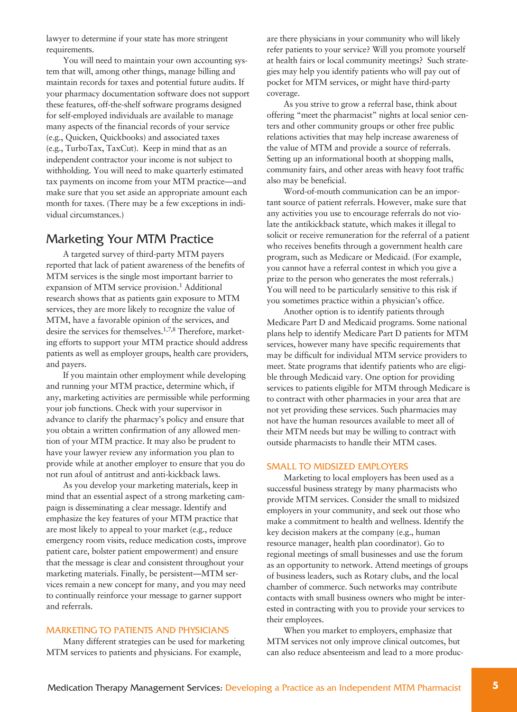lawyer to determine if your state has more stringent requirements.

You will need to maintain your own accounting system that will, among other things, manage billing and maintain records for taxes and potential future audits. If your pharmacy documentation software does not support these features, off-the-shelf software programs designed for self-employed individuals are available to manage many aspects of the financial records of your service (e.g., Quicken, Quickbooks) and associated taxes (e.g., TurboTax, TaxCut). Keep in mind that as an independent contractor your income is not subject to withholding. You will need to make quarterly estimated tax payments on income from your MTM practice—and make sure that you set aside an appropriate amount each month for taxes. (There may be a few exceptions in individual circumstances.)

### Marketing Your MTM Practice

A targeted survey of third-party MTM payers reported that lack of patient awareness of the benefits of MTM services is the single most important barrier to expansion of MTM service provision. <sup>1</sup> Additional research shows that as patients gain exposure to MTM services, they are more likely to recognize the value of MTM, have a favorable opinion of the services, and desire the services for themselves. 1,7,8 Therefore, marketing efforts to support your MTM practice should address patients as well as employer groups, health care providers, and payers.

If you maintain other employment while developing and running your MTM practice, determine which, if any, marketing activities are permissible while performing your job functions. Check with your supervisor in advance to clarify the pharmacy's policy and ensure that you obtain a written confirmation of any allowed mention of your MTM practice. It may also be prudent to have your lawyer review any information you plan to provide while at another employer to ensure that you do not run afoul of antitrust and anti-kickback laws.

As you develop your marketing materials, keep in mind that an essential aspect of a strong marketing campaign is disseminating a clear message. Identify and emphasize the key features of your MTM practice that are most likely to appeal to your market (e.g., reduce emergency room visits, reduce medication costs, improve patient care, bolster patient empowerment) and ensure that the message is clear and consistent throughout your marketing materials. Finally, be persistent—MTM services remain a new concept for many, and you may need to continually reinforce your message to garner support and referrals.

#### MARKETING TO PATIENTS AND PHYSICIANS

Many different strategies can be used for marketing MTM services to patients and physicians. For example,

are there physicians in your community who will likely refer patients to your service? Will you promote yourself at health fairs or local community meetings? Such strategies may help you identify patients who will pay out of pocket for MTM services, or might have third-party coverage.

As you strive to grow a referral base, think about offering "meet the pharmacist" nights at local senior centers and other community groups or other free public relations activities that may help increase awareness of the value of MTM and provide a source of referrals. Setting up an informational booth at shopping malls, community fairs, and other areas with heavy foot traffic also may be beneficial.

Word-of-mouth communication can be an important source of patient referrals. However, make sure that any activities you use to encourage referrals do not violate the antikickback statute, which makes it illegal to solicit or receive remuneration for the referral of a patient who receives benefits through a government health care program, such as Medicare or Medicaid. (For example, you cannot have a referral contest in which you give a prize to the person who generates the most referrals.) You will need to be particularly sensitive to this risk if you sometimes practice within a physician's office.

Another option is to identify patients through Medicare Part D and Medicaid programs. Some national plans help to identify Medicare Part D patients for MTM services, however many have specific requirements that may be difficult for individual MTM service providers to meet. State programs that identify patients who are eligible through Medicaid vary. One option for providing services to patients eligible for MTM through Medicare is to contract with other pharmacies in your area that are not yet providing these services. Such pharmacies may not have the human resources available to meet all of their MTM needs but may be willing to contract with outside pharmacists to handle their MTM cases.

#### SMALL TO MIDSIZED EMPLOYERS

Marketing to local employers has been used as a successful business strategy by many pharmacists who provide MTM services. Consider the small to midsized employers in your community, and seek out those who make a commitment to health and wellness. Identify the key decision makers at the company (e.g., human resource manager, health plan coordinator). Go to regional meetings of small businesses and use the forum as an opportunity to network. Attend meetings of groups of business leaders, such as Rotary clubs, and the local chamber of commerce. Such networks may contribute contacts with small business owners who might be interested in contracting with you to provide your services to their employees.

When you market to employers, emphasize that MTM services not only improve clinical outcomes, but can also reduce absenteeism and lead to a more produc-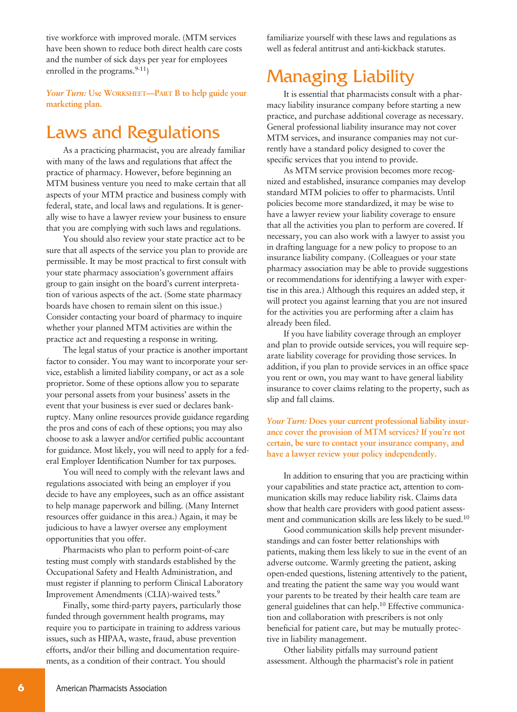tive workforce with improved morale. (MTM services have been shown to reduce both direct health care costs and the number of sick days per year for employees enrolled in the programs.<sup>9-11</sup>)

*Your Turn:* **Use WORKSHEET—PART B to help guide your marketing plan.**

# Laws and Regulations

As a practicing pharmacist, you are already familiar with many of the laws and regulations that affect the practice of pharmacy. However, before beginning an MTM business venture you need to make certain that all aspects of your MTM practice and business comply with federal, state, and local laws and regulations. It is generally wise to have a lawyer review your business to ensure that you are complying with such laws and regulations.

You should also review your state practice act to be sure that all aspects of the service you plan to provide are permissible. It may be most practical to first consult with your state pharmacy association's government affairs group to gain insight on the board's current interpretation of various aspects of the act. (Some state pharmacy boards have chosen to remain silent on this issue.) Consider contacting your board of pharmacy to inquire whether your planned MTM activities are within the practice act and requesting a response in writing.

The legal status of your practice is another important factor to consider. You may want to incorporate your service, establish a limited liability company, or act as a sole proprietor. Some of these options allow you to separate your personal assets from your business' assets in the event that your business is ever sued or declares bankruptcy. Many online resources provide guidance regarding the pros and cons of each of these options; you may also choose to ask a lawyer and/or certified public accountant for guidance. Most likely, you will need to apply for a federal Employer Identification Number for tax purposes.

You will need to comply with the relevant laws and regulations associated with being an employer if you decide to have any employees, such as an office assistant to help manage paperwork and billing. (Many Internet resources offer guidance in this area.) Again, it may be judicious to have a lawyer oversee any employment opportunities that you offer.

Pharmacists who plan to perform point-of-care testing must comply with standards established by the Occupational Safety and Health Administration, and must register if planning to perform Clinical Laboratory Improvement Amendments (CLIA)-waived tests. 9

Finally, some third-party payers, particularly those funded through government health programs, may require you to participate in training to address various issues, such as HIPAA, waste, fraud, abuse prevention efforts, and/or their billing and documentation requirements, as a condition of their contract. You should

familiarize yourself with these laws and regulations as well as federal antitrust and anti-kickback statutes.

# Managing Liability

It is essential that pharmacists consult with a pharmacy liability insurance company before starting a new practice, and purchase additional coverage as necessary. General professional liability insurance may not cover MTM services, and insurance companies may not currently have a standard policy designed to cover the specific services that you intend to provide.

As MTM service provision becomes more recognized and established, insurance companies may develop standard MTM policies to offer to pharmacists. Until policies become more standardized, it may be wise to have a lawyer review your liability coverage to ensure that all the activities you plan to perform are covered. If necessary, you can also work with a lawyer to assist you in drafting language for a new policy to propose to an insurance liability company. (Colleagues or your state pharmacy association may be able to provide suggestions or recommendations for identifying a lawyer with expertise in this area.) Although this requires an added step, it will protect you against learning that you are not insured for the activities you are performing after a claim has already been filed.

If you have liability coverage through an employer and plan to provide outside services, you will require separate liability coverage for providing those services. In addition, if you plan to provide services in an office space you rent or own, you may want to have general liability insurance to cover claims relating to the property, such as slip and fall claims.

*Your Turn:* **Does your current professional liability insurance cover the provision of MTM services? If you're not certain, be sure to contact your insurance company, and have a lawyer review your policy independently.**

In addition to ensuring that you are practicing within your capabilities and state practice act, attention to communication skills may reduce liability risk. Claims data show that health care providers with good patient assessment and communication skills are less likely to be sued. 10

Good communication skills help prevent misunderstandings and can foster better relationships with patients, making them less likely to sue in the event of an adverse outcome. Warmly greeting the patient, asking open-ended questions, listening attentively to the patient, and treating the patient the same way you would want your parents to be treated by their health care team are general guidelines that can help. <sup>10</sup> Effective communication and collaboration with prescribers is not only beneficial for patient care, but may be mutually protective in liability management.

Other liability pitfalls may surround patient assessment. Although the pharmacist's role in patient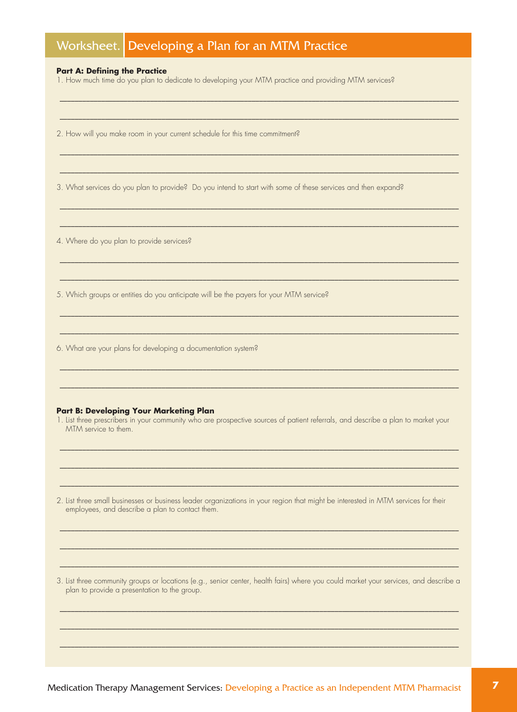|  | Worksheet. Developing a Plan for an MTM Practice |
|--|--------------------------------------------------|
|  |                                                  |

#### **Part A: Defining the Practice**

1. How much time do you plan to dedicate to developing your MTM practice and providing MTM services?

2. How will you make room in your current schedule for this time commitment?

3. What services do you plan to provide? Do you intend to start with some of these services and then expand?

4. Where do you plan to provide services?

5. Which groups or entities do you anticipate will be the payers for your MTM service?

6. What are your plans for developing a documentation system?

#### **Part B: Developing Your Marketing Plan**

1. List three prescribers in your community who are prospective sources of patient referrals, and describe a plan to market your MTM service to them.

2. List three small businesses or business leader organizations in your region that might be interested in MTM services for their employees, and describe a plan to contact them.

3. List three community groups or locations (e.g., senior center, health fairs) where you could market your services, and describe a plan to provide a presentation to the group.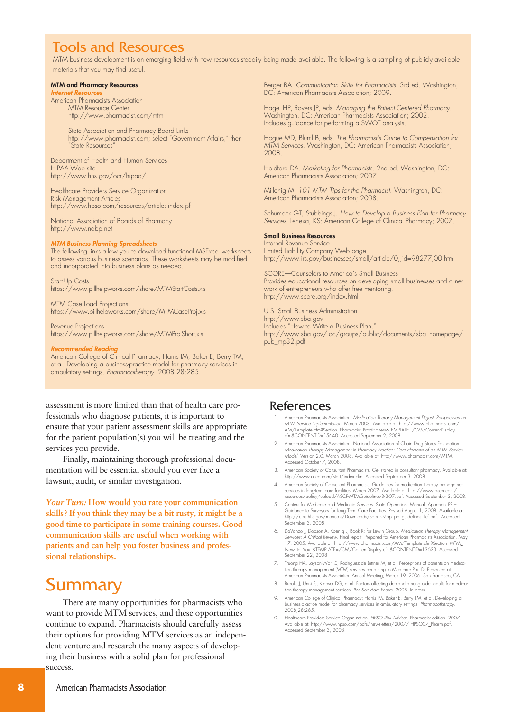# Tools and Resources

MTM business development is an emerging field with new resources steadily being made available. The following is a sampling of publicly available materials that you may find useful.

#### **MTM and Pharmacy Resources**

*Internet Resources*

American Pharmacists Association MTM Resource Center http://www.pharmacist.com/mtm

> State Association and Pharmacy Board Links http://www.pharmacist.com; select "Government Affairs," then "State Resources"

Department of Health and Human Services HIPAA Web site http://www.hhs.gov/ocr/hipaa/

Healthcare Providers Service Organization Risk Management Articles http://www.hpso.com/resources/articles-index.jsf

National Association of Boards of Pharmacy http://www.nabp.net

#### *MTM Business Planning Spreadsheets*

The following links allow you to download functional MSExcel worksheets to assess various business scenarios. These worksheets may be modified and incorporated into business plans as needed.

Start-Up Costs https://www.pillhelpworks.com/share/MTMStartCosts.xls

MTM Case Load Projections https://www.pillhelpworks.com/share/MTMCaseProj.xls

Revenue Projections https://www.pillhelpworks.com/share/MTMProjShort.xls

#### *Recommended Reading*

American College of Clinical Pharmacy; Harris IM, Baker E, Berry TM, et al. Developing a business-practice model for pharmacy services in ambulatory settings. *Pharmacotherapy*. 2008;28:285.

assessment is more limited than that of health care professionals who diagnose patients, it is important to ensure that your patient assessment skills are appropriate for the patient population(s) you will be treating and the services you provide.

Finally, maintaining thorough professional documentation will be essential should you ever face a lawsuit, audit, or similar investigation.

*Your Turn:* **How would you rate your communication skills? If you think they may be a bit rusty, it might be a good time to participate in some training courses. Good communication skills are useful when working with patients and can help you foster business and professional relationships.**

# Summary

There are many opportunities for pharmacists who want to provide MTM services, and these opportunities continue to expand. Pharmacists should carefully assess their options for providing MTM services as an independent venture and research the many aspects of developing their business with a solid plan for professional success.

Berger BA. *Communication Skills for Pharmacists*. 3rd ed. Washington, DC: American Pharmacists Association; 2009.

Hagel HP, Rovers JP, eds. *Managing the Patient-Centered Pharmacy*. Washington, DC: American Pharmacists Association; 2002. Includes guidance for performing a SWOT analysis.

Hogue MD, Bluml B, eds. *The Pharmacist's Guide to Compensation for MTM Services.* Washington, DC: American Pharmacists Association; 2008.

Holdford DA. *Marketing for Pharmacists*. 2nd ed. Washington, DC: American Pharmacists Association; 2007.

Millonig M. *101 MTM Tips for the Pharmacist.* Washington, DC: American Pharmacists Association; 2008.

Schumock GT, Stubbings J. *How to Develop a Business Plan for Pharmacy Services*. Lenexa, KS: American College of Clinical Pharmacy; 2007.

#### **Small Business Resources**

Internal Revenue Service Limited Liability Company Web page http://www.irs.gov/businesses/small/article/0,,id=98277,00.html

SCORE—Counselors to America's Small Business Provides educational resources on developing small businesses and a network of entrepreneurs who offer free mentoring. http://www.score.org/index.html

U.S. Small Business Administration http://www.sba.gov Includes "How to Write a Business Plan." http://www.sba.gov/idc/groups/public/documents/sba\_homepage/ pub\_mp32.pdf

### References

- 1. American Pharmacists Association. *Medication Therapy Management Digest. Perspectives on MTM Service Implementation.* March 2008. Available at: http://www.pharmacist.com/ AM/Template.cfm?Section=Pharmacist\_Practitioners&TEMPLATE=/CM/ContentDisplay. cfm&CONTENTID=15640. Accessed September 2, 2008.
- 2. American Pharmacists Association, National Association of Chain Drug Stores Foundation. Medication Therapy Management in Pharmacy Practice: Core Elements of an MTM Service<br>Model. Version 2.0. March 2008. Available at: http://www.pharmacist.com/MTM. Accessed October 7, 2008.
- American Society of Consultant Pharmacists. Get started in consultant pharmacy. Available at: http://www.ascp.com/start/index.cfm. Accessed September 3, 2008.
- 4. American Society of Consultant Pharmacists. Guidelines for medication therapy management services in long-term care facilities. March 2007. Available at: http://www.ascp.com resources/policy/upload/ASCP-MTMGuidelines-3-3-07.pdf. Accessed September 3, 2008.
- 5. Centers for Medicare and Medicaid Services. State Operations Manual. Appendix PP Guidance to Surveyors tor Long Term Care Facilities. Revised August 1, 2008. Available at:<br>http://cms.hhs.gov/manuals/Downloads/som107ap\_pp\_guidelines\_ltcf.pdf. Accessed September 3, 2008.
- 6. DaVanzo J, Dobson A, Koenig L, Book R; for Lewin Group. *Medication Therapy Manager Services: A Critical Review*. Final report. Prepared for American Pharmacists Association. May 17, 2005. Available at: http://www.pharmacist.com/AM/Template.cfm?Section=MTM\_ New\_to\_You\_&TEMPLATE=/CM/ContentDisplay.cfm&CONTENTID=13633. Accessed September 22, 2008.
- 7. Truong HA, Layson-Wolf C, Rodriguez de Bittner M, et al. Perceptions of patients on medication therapy management (MTM) services pertaining to Medicare Part D. Presented at: American Pharmacists Association Annual Meeting; March 19, 2006; San Francisco, CA.
- 8. Brooks J, Unni EJ, Klepser DG, et al. Factors affecting demand among older adults for medication therapy management services. *Res Soc Adm Pharm*. 2008. In press.
- 9. American College of Clinical Pharmacy; Harris IM, Baker E, Berry TM, et al. Developing a business-practice model for pharmacy services in ambulatory settings. *Pharmacotherapy*. 2008;28:285.
- 10. Healthcare Providers Service Organization. *HPSO Risk Advisor.* Pharmacist edition. 2007. Available at: http://www.hpso.com/pdfs/newsletters/2007/ HPSO07\_Pharm.pdf. Accessed September 3, 2008.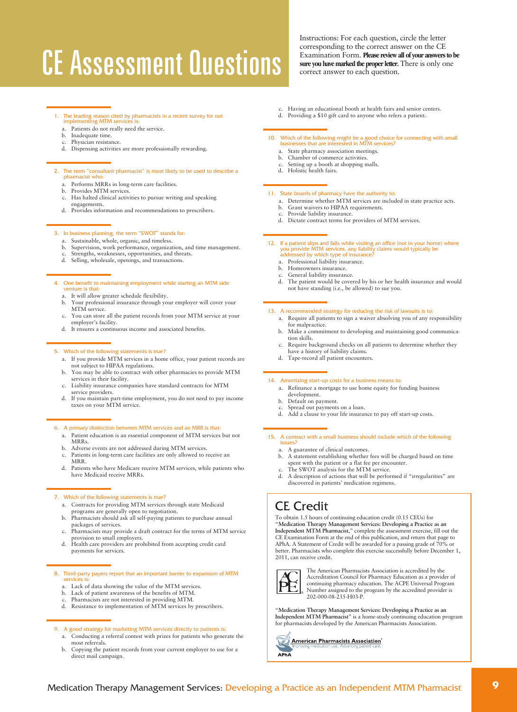# **CE Assessment Questions**

- 1. The leading reason cited by pharmacists in a recent survey for not implementing MTM services is:
	- a. Patients do not really need the service. b. Inadequate time.
	- Physician resistance.
	- d. Dispensing activities are more professionally rewarding.

#### 2. The term "consultant pharmacist" is most likely to be used to describe a

- pharmacist who:
- a. Performs MRRs in long-term care facilities.
- b. Provides MTM services. c. Has halted clinical activities to pursue writing and speaking
- engagements.
- d. Provides information and recommendations to prescribers.

#### 3. In business planning, the term "SWOT" stands for:

- a. Sustainable, whole, organic, and timeless.
- b. Supervision, work performance, organization, and time management.
- Strengths, weaknesses, opportunities, and threats.
- d. Selling, wholesale, openings, and transactions.

#### 4. One benefit to maintaining employment while starting an MTM side venture is that:

- a. It will allow greater schedule flexibility.
- b. Your professional insurance through your employer will cover your MTM service.
- c. You can store all the patient records from your MTM service at your employer's facility.
- d. It ensures a continuous income and associated benefits.

#### 5. Which of the following statements is true?

- a. If you provide MTM services in a home office, your patient records are not subject to HIPAA regulations.
- b. You may be able to contract with other pharmacies to provide MTM services in their facility.
- c. Liability insurance companies have standard contracts for MTM service providers.
- d. If you maintain part-time employment, you do not need to pay income taxes on your MTM service.

#### 6. A primary distinction between MTM services and an MRR is that:

- a. Patient education is an essential component of MTM services but not MRRs.
- b. Adverse events are not addressed during MTM services.<br>c. Patients in long-term care facilities are only allowed to r
- Patients in long-term care facilities are only allowed to receive an MRR.
- d. Patients who have Medicare receive MTM services, while patients who have Medicaid receive MRRs.

#### 7. Which of the following statements is true?

- a. Contracts for providing MTM services through state Medicaid programs are generally open to negotiation. b. Pharmacists should ask all self-paying patients to purchase annual
- packages of services.
- c. Pharmacists may provide a draft contract for the terms of MTM service provision to small employers. d. Health care providers are prohibited from accepting credit card
- payments for services.

# 8. Third-party payers report that an important barrier to expansion of MTM services is:

- a. Lack of data showing the value of the MTM services.
- b. Lack of patient awareness of the benefits of MTM.
- c. Pharmacists are not interested in providing MTM. d. Resistance to implementation of MTM services by prescribers.

#### 9. A good strategy for marketing MTM services directly to patients is:

- a. Conducting a referral contest with prizes for patients who generate the most referrals.
- b. Copying the patient records from your current employer to use for a direct mail campaign.

Instructions: For each question, circle the letter corresponding to the correct answer on the CE Examination Form. **Please reviewall ofyour answersto be sure** you have marked the proper letter. There is only one correct answer to each question.

Having an educational booth at health fairs and senior centers. d. Providing a \$10 gift card to anyone who refers a patient.

# 10. Which of the following might be a good choice for connecting with small businesses that are interested in MTM services?

- a. State pharmacy association meetings.
- b. Chamber of commerce activities. c. Setting up a booth at shopping malls.
- d. Holistic health fairs.

#### 11. State boards of pharmacy have the authority to:

- a. Determine whether MTM services are included in state practice acts.
- b. Grant waivers to HIPAA requirements.
- c. Provide liability insurance.
- d. Dictate contract terms for providers of MTM services.

# 12. If a patient slips and falls while visiting an office (not in your home) where<br>you provide MTM services, any liability claims would typically be<br>addressed by which type of insurance?

- a. Professional liability insurance.
- b. Homeowners insurance.
- General liability insurance.
- d. The patient would be covered by his or her health insurance and would not have standing (i.e., be allowed) to sue you.

#### 13. A recommended strategy for reducing the risk of lawsuits is to:

- a. Require all patients to sign a waiver absolving you of any responsibility for malpractice.
- b. Make a commitment to developing and maintaining good communication skills.
- c. Require background checks on all patients to determine whether they have a history of liability claims.
- d. Tape-record all patient encounters.

#### 14. Amortizing start-up costs for a business means to:

- a. Refinance a mortgage to use home equity for funding business development.
- b. Default on payment.
- 
- c. Spread out payments on a loan. d. Add a clause to your life insurance to pay off start-up costs.

### 15. A contract with a small business should include which of the following

- 
- a. A guarantee of clinical outcomes. b. A statement establishing whether fees will be charged based on time spent with the patient or a flat fee per encounter.
- The SWOT analysis for the MTM service. d. A description of actions that will be performed if "irregularities" are discovered in patients' medication regimens.

### CE Credit

To obtain 1.5 hours of continuing education credit (0.15 CEUs) for "**Medication Therapy Management Services: Developing a Practice as an Independent MTM Pharmacist**," complete the assessment exercise, fill out the CE Examination Form at the end of this publication, and return that page to<br>APhA. A Statement of Credit will be awarded for a passing grade of 70% or<br>better. Pharmacists who complete this exercise successfully before Decem 2011, can receive credit.



The American Pharmacists Association is accredited by the Accreditation Council for Pharmacy Education as a provider of continuing pharmacy education. The ACPE Universal Program Number assigned to the program by the accredited provider is 202-000-08-235-H03-P.

"**Medication Therapy Management Services: Developing a Practice as an Independent MTM Pharmacist**" is a home-study continuing education program for pharmacists developed by the American Pharmacists Association.